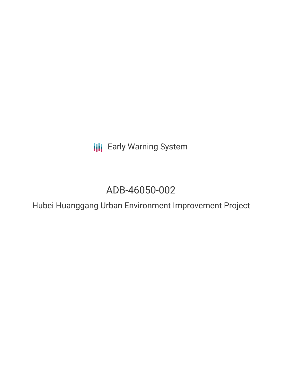**III** Early Warning System

# ADB-46050-002

Hubei Huanggang Urban Environment Improvement Project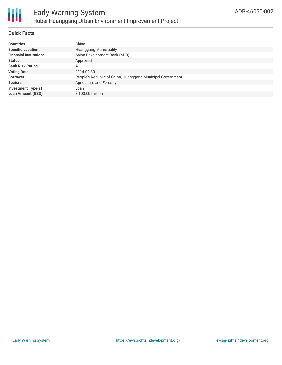

#### **Quick Facts**

| China                                                      |
|------------------------------------------------------------|
| <b>Huanggang Municipality</b>                              |
| Asian Development Bank (ADB)                               |
| Approved                                                   |
| Α                                                          |
| 2014-09-30                                                 |
| People's Republic of China, Huanggang Municipal Government |
| Agriculture and Forestry                                   |
| Loan                                                       |
| \$100.00 million                                           |
|                                                            |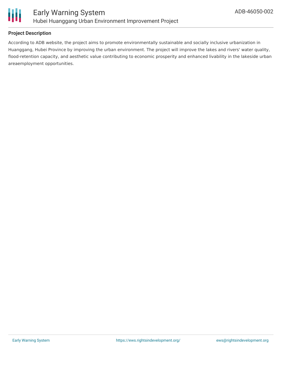

### **Project Description**

According to ADB website, the project aims to promote environmentally sustainable and socially inclusive urbanization in Huanggang, Hubei Province by improving the urban environment. The project will improve the lakes and rivers' water quality, flood-retention capacity, and aesthetic value contributing to economic prosperity and enhanced livability in the lakeside urban areaemployment opportunities.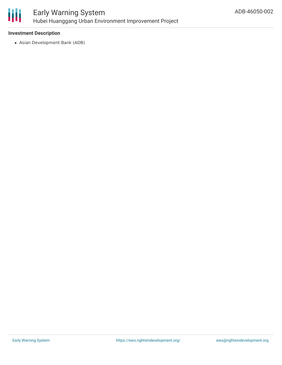

# Early Warning System Hubei Huanggang Urban Environment Improvement Project

#### **Investment Description**

Asian Development Bank (ADB)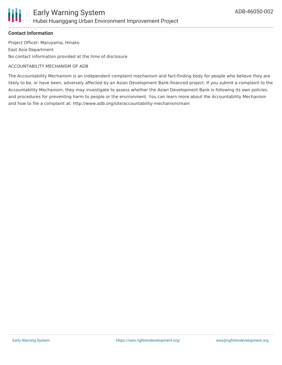

#### **Contact Information**

Project Officer: Maruyama, Hinako East Asia Department No contact information provided at the time of disclosure

#### ACCOUNTABILITY MECHANISM OF ADB

The Accountability Mechanism is an independent complaint mechanism and fact-finding body for people who believe they are likely to be, or have been, adversely affected by an Asian Development Bank-financed project. If you submit a complaint to the Accountability Mechanism, they may investigate to assess whether the Asian Development Bank is following its own policies and procedures for preventing harm to people or the environment. You can learn more about the Accountability Mechanism and how to file a complaint at: http://www.adb.org/site/accountability-mechanism/main